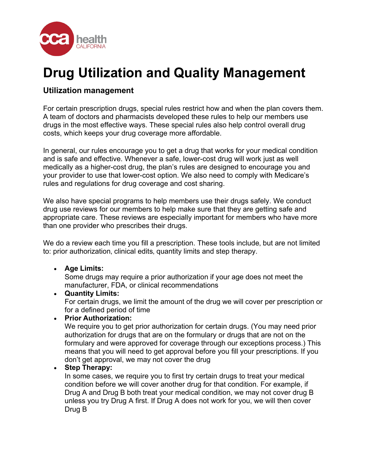

# **Drug Utilization and Quality Management**

# **Utilization management**

For certain prescription drugs, special rules restrict how and when the plan covers them. A team of doctors and pharmacists developed these rules to help our members use drugs in the most effective ways. These special rules also help control overall drug costs, which keeps your drug coverage more affordable.

In general, our rules encourage you to get a drug that works for your medical condition and is safe and effective. Whenever a safe, lower-cost drug will work just as well medically as a higher-cost drug, the plan's rules are designed to encourage you and your provider to use that lower-cost option. We also need to comply with Medicare's rules and regulations for drug coverage and cost sharing.

We also have special programs to help members use their drugs safely. We conduct drug use reviews for our members to help make sure that they are getting safe and appropriate care. These reviews are especially important for members who have more than one provider who prescribes their drugs.

We do a review each time you fill a prescription. These tools include, but are not limited to: prior authorization, clinical edits, quantity limits and step therapy.

## • **Age Limits:**

Some drugs may require a prior authorization if your age does not meet the manufacturer, FDA, or clinical recommendations

#### • **Quantity Limits:**

For certain drugs, we limit the amount of the drug we will cover per prescription or for a defined period of time

## • **Prior Authorization:**

We require you to get prior authorization for certain drugs. (You may need prior authorization for drugs that are on the formulary or drugs that are not on the formulary and were approved for coverage through our exceptions process.) This means that you will need to get approval before you fill your prescriptions. If you don't get approval, we may not cover the drug

#### • **Step Therapy:**

In some cases, we require you to first try certain drugs to treat your medical condition before we will cover another drug for that condition. For example, if Drug A and Drug B both treat your medical condition, we may not cover drug B unless you try Drug A first. If Drug A does not work for you, we will then cover Drug B